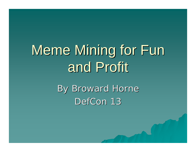# Meme Mining for Fun and Profit

By Broward Horne DefCon 13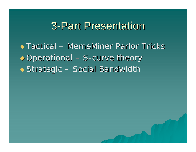### **3-Part Presentation**

 $\triangle$  Tactical – MemeMiner Parlor Tricks  $\rightarrow$  Operational – S-curve theory  $\rightarrow$  Strategic – Social Bandwidth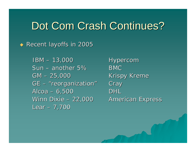### Dot Com Crash Continues?

◆ Recent layoffs in 2005

IBM –Sun – another 5%GM –GE – "reorganization" Alcoa – 6,500 DHL Winn Dixie – Lear – 7,700

**Hypercom**  BMC **Krispy Kreme Cray American Express**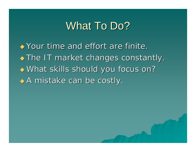### What To Do?

 $\rightarrow$  Your time and effort are finite.  $\bullet$  The IT market changes constantly. What skills should you focus on?  $\leftrightarrow$  A mistake can be costly.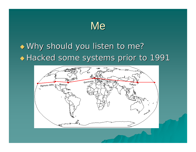### **Me**

### $\rightarrow$  Why should you listen to me? Hacked some systems prior to 1991 Hacked some systems prior to 1991

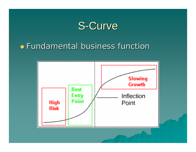

#### $\rightarrow$  Fundamental business function

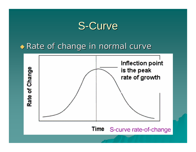

#### Rate of change in normal curve



Time S-curve rate-of-change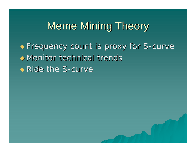## Meme Mining Theory

• Frequency count is proxy for S-curve  $\rightarrow$  Monitor technical trends  $\rightarrow$  Ride the S-curve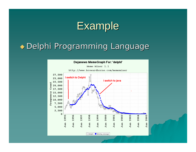

### $\bullet$  Delphi Programming Language

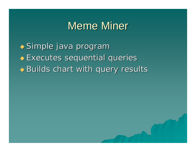### Meme Miner

◆ Simple java program  $\rightarrow$  Executes sequential queries  $\rightarrow$  Builds chart with query results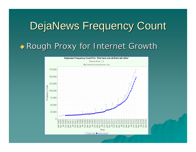# DejaNews Frequency Count ◆ Rough Proxy for Internet Growth

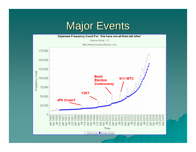### **Major Events**

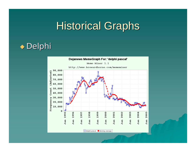#### Delphi

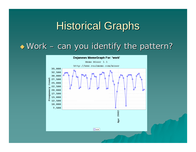#### ◆ Work - can you identify the pattern?

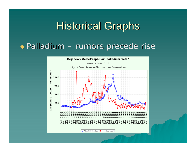#### $\rightarrow$  Palladium – rumors precede rise

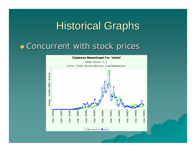#### **Concurrent with stock prices**

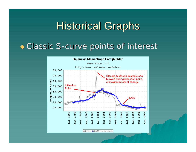#### ◆ Classic S-curve points of interest

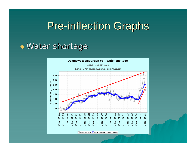#### $\rightarrow$  Water shortage

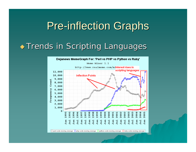#### **Trends in Scripting Languages**

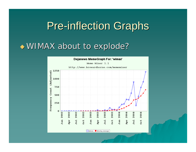#### $\rightarrow$  WIMAX about to explode?

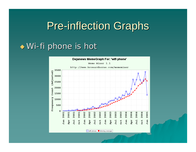#### $\rightarrow$  Wi-fi phone is hot



wifi phone Moving average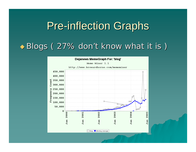### $\blacklozenge$  Blogs (27% don't know what it is )

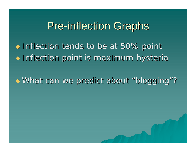$\triangle$  Inflection tends to be at 50% point  $\bullet$  Inflection point is maximum hysteria

What can we predict about "blogging"?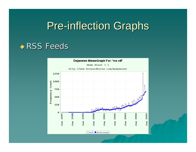#### $\rightarrow$  RSS Feeds

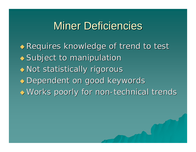### **Miner Deficiencies**

 Requires knowledge of trend to test Requires knowledge of trend to test  $\blacklozenge$  Subject to manipulation  $\rightarrow$  Not statistically rigorous Dependent on good keywords Dependent on good keywords ◆ Works poorly for non-technical trends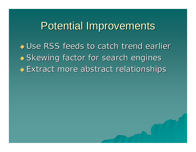### Potential Improvements

 $\leftrightarrow$  Use RSS feeds to catch trend earlier  $\leftrightarrow$  Skewing factor for search engines Extract more abstract relationships Extract more abstract relationships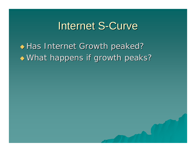### Internet S-Curve

◆ Has Internet Growth peaked?  $\blacklozenge$  What happens if growth peaks?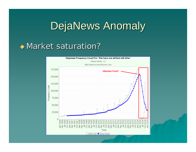### DejaNews Anomaly

#### $\rightarrow$  Market saturation?

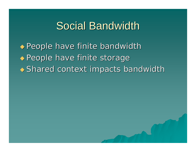### Social Bandwidth

 $\rightarrow$  People have finite bandwidth  $\rightarrow$  People have finite storage  $\rightarrow$  Shared context impacts bandwidth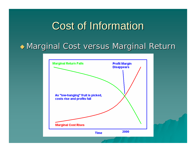## **Cost of Information**

#### Marginal Cost versus Marginal Return

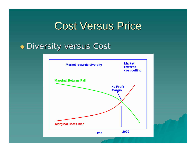### **Cost Versus Price**

#### ◆ Diversity versus Cost

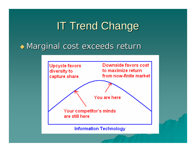## IT Trend Change

 $\rightarrow$  Marginal cost exceeds return